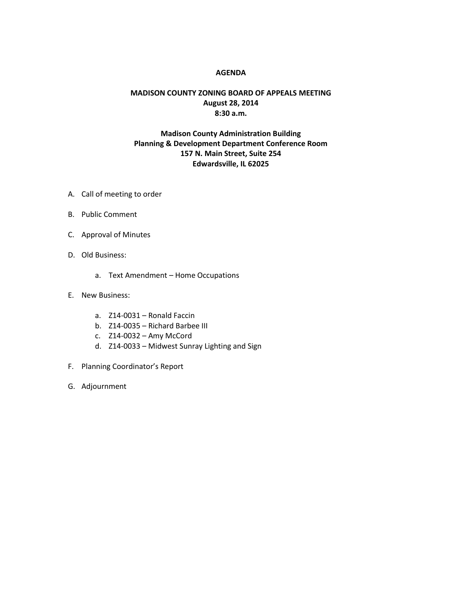## **AGENDA**

## **MADISON COUNTY ZONING BOARD OF APPEALS MEETING August 28, 2014 8:30 a.m.**

## **Madison County Administration Building Planning & Development Department Conference Room 157 N. Main Street, Suite 254 Edwardsville, IL 62025**

- A. Call of meeting to order
- B. Public Comment
- C. Approval of Minutes
- D. Old Business:
	- a. Text Amendment Home Occupations
- E. New Business:
	- a. Z14-0031 Ronald Faccin
	- b. Z14-0035 Richard Barbee III
	- c. Z14-0032 Amy McCord
	- d. Z14-0033 Midwest Sunray Lighting and Sign
- F. Planning Coordinator's Report
- G. Adjournment